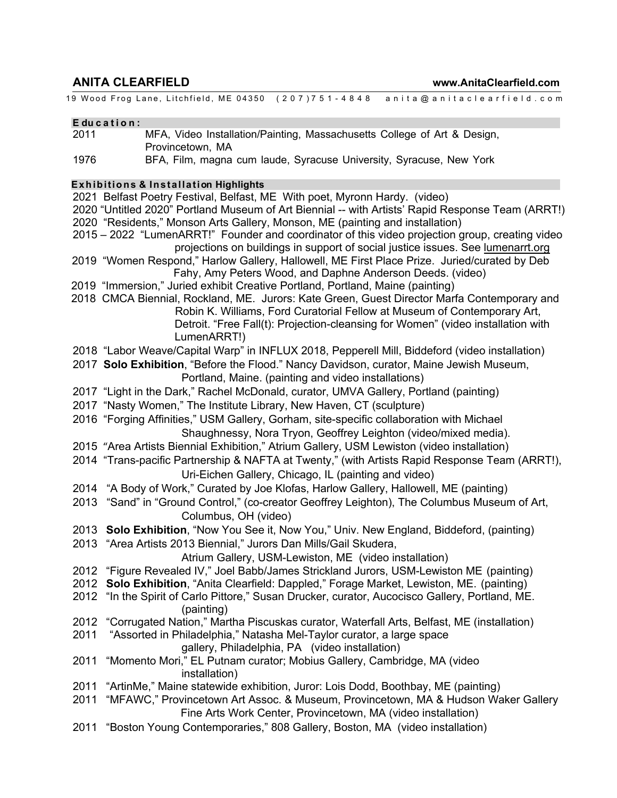# **ANITA CLEARFIELD www.AnitaClearfield.com**

19 Wood Frog Lane, Litchfield, ME 04350 ( 207 ) 751 - 4848 anita@anitaclearfield.com

#### **E du c a t i o n :**

- 2011 MFA, Video Installation/Painting, Massachusetts College of Art & Design, Provincetown, MA
- 1976 BFA, Film, magna cum laude, Syracuse University, Syracuse, New York

#### **E x h ib itio n s & Insta lla tion Highlights**

2021 Belfast Poetry Festival, Belfast, ME With poet, Myronn Hardy. (video)

- 2020 "Untitled 2020" Portland Museum of Art Biennial -- with Artists' Rapid Response Team (ARRT!) 2020 "Residents," Monson Arts Gallery, Monson, ME (painting and installation)
- 2015 2022 "LumenARRT!" Founder and coordinator of this video projection group, creating video projections on buildings in support of social justice issues. See lumenarrt.org
- 2019 "Women Respond," Harlow Gallery, Hallowell, ME First Place Prize. Juried/curated by Deb Fahy, Amy Peters Wood, and Daphne Anderson Deeds. (video)
- 2019 "Immersion," Juried exhibit Creative Portland, Portland, Maine (painting)
- 2018 CMCA Biennial, Rockland, ME. Jurors: Kate Green, Guest Director Marfa Contemporary and Robin K. Williams, Ford Curatorial Fellow at Museum of Contemporary Art, Detroit. "Free Fall(t): Projection-cleansing for Women" (video installation with LumenARRT!)
- 2018 "Labor Weave/Capital Warp" in INFLUX 2018, Pepperell Mill, Biddeford (video installation)
- 2017 **Solo Exhibition**, "Before the Flood." Nancy Davidson, curator, Maine Jewish Museum, Portland, Maine. (painting and video installations)
- 2017 "Light in the Dark," Rachel McDonald, curator, UMVA Gallery, Portland (painting)
- 2017 "Nasty Women," The Institute Library, New Haven, CT (sculpture)
- 2016 "Forging Affinities," USM Gallery, Gorham, site-specific collaboration with Michael Shaughnessy, Nora Tryon, Geoffrey Leighton (video/mixed media).
- 2015 "Area Artists Biennial Exhibition," Atrium Gallery, USM Lewiston (video installation)
- 2014 "Trans-pacific Partnership & NAFTA at Twenty," (with Artists Rapid Response Team (ARRT!), Uri-Eichen Gallery, Chicago, IL (painting and video)
- 2014 "A Body of Work," Curated by Joe Klofas, Harlow Gallery, Hallowell, ME (painting)
- 2013 "Sand" in "Ground Control," (co-creator Geoffrey Leighton), The Columbus Museum of Art, Columbus, OH (video)
- 2013 **Solo Exhibition**, "Now You See it, Now You," Univ. New England, Biddeford, (painting)
- 2013 "Area Artists 2013 Biennial," Jurors Dan Mills/Gail Skudera,

Atrium Gallery, USM-Lewiston, ME (video installation)

- 2012 "Figure Revealed IV," Joel Babb/James Strickland Jurors, USM-Lewiston ME (painting)
- 2012 **Solo Exhibition**, "Anita Clearfield: Dappled," Forage Market, Lewiston, ME. (painting)
- 2012 "In the Spirit of Carlo Pittore," Susan Drucker, curator, Aucocisco Gallery, Portland, ME. (painting)
- 2012 "Corrugated Nation," Martha Piscuskas curator, Waterfall Arts, Belfast, ME (installation)
- 2011 "Assorted in Philadelphia," Natasha Mel-Taylor curator, a large space gallery, Philadelphia, PA (video installation)
- 2011 "Momento Mori," EL Putnam curator; Mobius Gallery, Cambridge, MA (video installation)
- 2011 "ArtinMe," Maine statewide exhibition, Juror: Lois Dodd, Boothbay, ME (painting)
- 2011 "MFAWC," Provincetown Art Assoc. & Museum, Provincetown, MA & Hudson Waker Gallery Fine Arts Work Center, Provincetown, MA (video installation)
- 2011 "Boston Young Contemporaries," 808 Gallery, Boston, MA (video installation)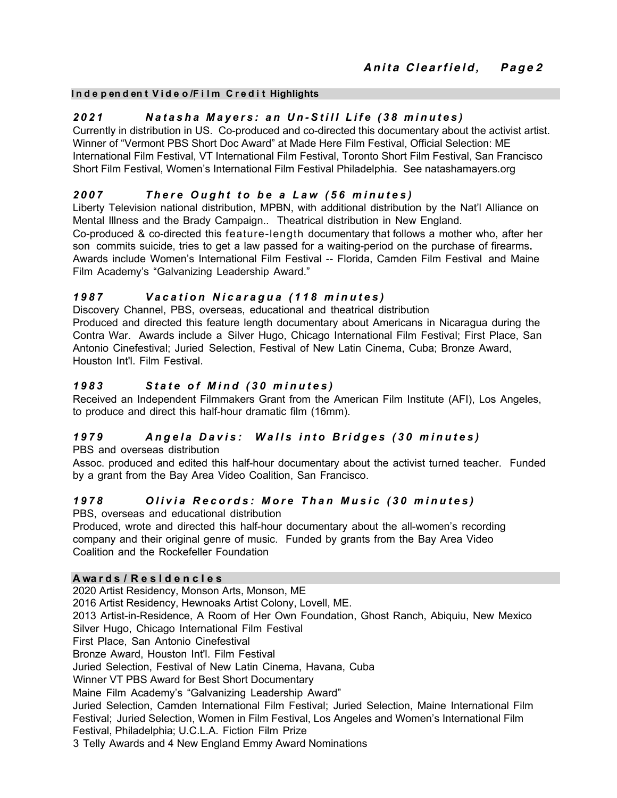#### **I n d e p en d en t V i d e o /F i l m C r e d i t Highlights**

## *2021 Natasha Mayers: an U n - Still Life (38 minutes)*

Currently in distribution in US. Co-produced and co-directed this documentary about the activist artist. Winner of "Vermont PBS Short Doc Award" at Made Here Film Festival, Official Selection: ME International Film Festival, VT International Film Festival, Toronto Short Film Festival, San Francisco Short Film Festival, Women's International Film Festival Philadelphia. See natashamayers.org

## *200 7 T h e r e O ugh t t o b e a L a w ( 5 6 m i n u t e s )*

Liberty Television national distribution, MPBN, with additional distribution by the Nat'l Alliance on Mental Illness and the Brady Campaign.. Theatrical distribution in New England.

Co-produced & co-directed this feature-length documentary that follows a mother who, after her son commits suicide, tries to get a law passed for a waiting-period on the purchase of firearms**.**  Awards include Women's International Film Festival -- Florida, Camden Film Festival and Maine Film Academy's "Galvanizing Leadership Award."

# 1987 Vacation Nicaragua (118 minutes)

Discovery Channel, PBS, overseas, educational and theatrical distribution Produced and directed this feature length documentary about Americans in Nicaragua during the Contra War. Awards include a Silver Hugo, Chicago International Film Festival; First Place, San Antonio Cinefestival; Juried Selection, Festival of New Latin Cinema, Cuba; Bronze Award, Houston Int'l. Film Festival.

## *198 3 S t a t e o f M i n d ( 3 0 m i n u t e s )*

Received an Independent Filmmakers Grant from the American Film Institute (AFI), Los Angeles, to produce and direct this half-hour dramatic film (16mm).

# 1979 Angela Davis: Walls into Bridges (30 minutes)

PBS and overseas distribution

Assoc. produced and edited this half-hour documentary about the activist turned teacher. Funded by a grant from the Bay Area Video Coalition, San Francisco.

# 1978 Olivia Records: More Than Music (30 minutes)

PBS, overseas and educational distribution

Produced, wrote and directed this half-hour documentary about the all-women's recording company and their original genre of music. Funded by grants from the Bay Area Video Coalition and the Rockefeller Foundation

### **A wa r d s / R e s I d e n c I e s**

2020 Artist Residency, Monson Arts, Monson, ME 2016 Artist Residency, Hewnoaks Artist Colony, Lovell, ME. 2013 Artist-in-Residence, A Room of Her Own Foundation, Ghost Ranch, Abiquiu, New Mexico Silver Hugo, Chicago International Film Festival First Place, San Antonio Cinefestival Bronze Award, Houston Int'l. Film Festival Juried Selection, Festival of New Latin Cinema, Havana, Cuba Winner VT PBS Award for Best Short Documentary Maine Film Academy's "Galvanizing Leadership Award" Juried Selection, Camden International Film Festival; Juried Selection, Maine International Film Festival; Juried Selection, Women in Film Festival, Los Angeles and Women's International Film Festival, Philadelphia; U.C.L.A. Fiction Film Prize 3 Telly Awards and 4 New England Emmy Award Nominations